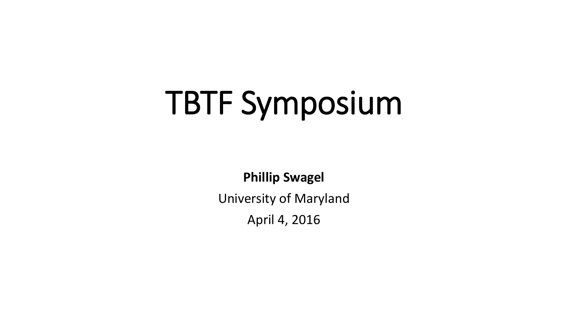# TBTF Symposium

**Phillip Swagel**

University of Maryland

April 4, 2016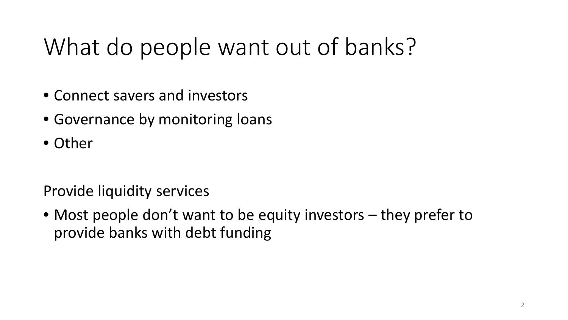## What do people want out of banks?

- Connect savers and investors
- Governance by monitoring loans
- Other

Provide liquidity services

• Most people don't want to be equity investors – they prefer to provide banks with debt funding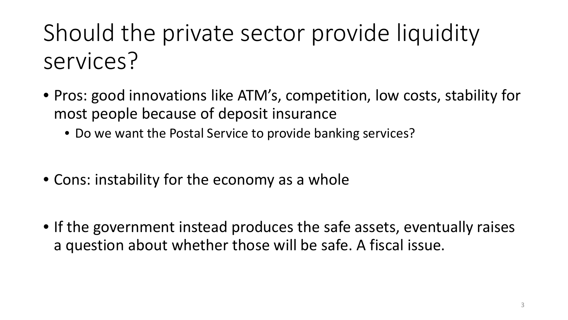# Should the private sector provide liquidity services?

- Pros: good innovations like ATM's, competition, low costs, stability for most people because of deposit insurance
	- Do we want the Postal Service to provide banking services?
- Cons: instability for the economy as a whole
- If the government instead produces the safe assets, eventually raises a question about whether those will be safe. A fiscal issue.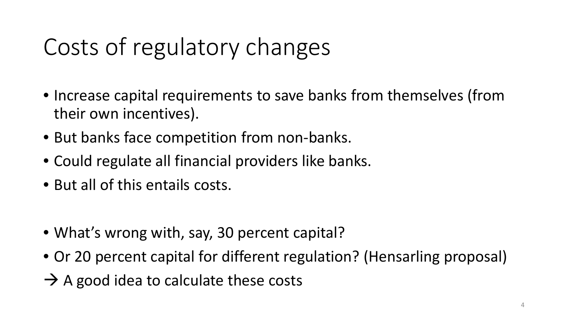# Costs of regulatory changes

- Increase capital requirements to save banks from themselves (from their own incentives).
- But banks face competition from non-banks.
- Could regulate all financial providers like banks.
- But all of this entails costs.
- What's wrong with, say, 30 percent capital?
- Or 20 percent capital for different regulation? (Hensarling proposal)
- $\rightarrow$  A good idea to calculate these costs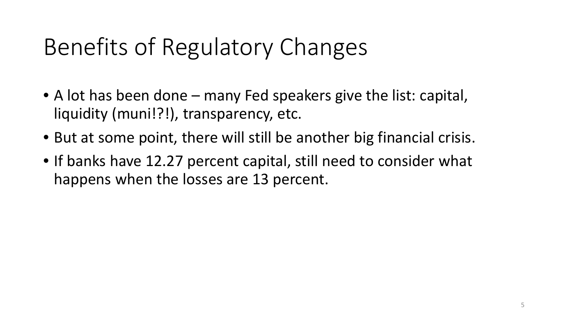### Benefits of Regulatory Changes

- A lot has been done many Fed speakers give the list: capital, liquidity (muni!?!), transparency, etc.
- But at some point, there will still be another big financial crisis.
- If banks have 12.27 percent capital, still need to consider what happens when the losses are 13 percent.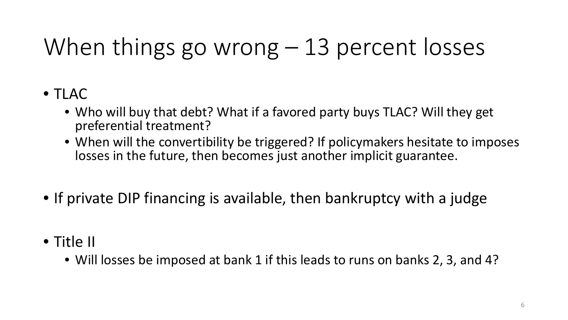# When things go wrong – 13 percent losses

#### • TLAC

- Who will buy that debt? What if a favored party buys TLAC? Will they get preferential treatment?
- When will the convertibility be triggered? If policymakers hesitate to imposes losses in the future, then becomes just another implicit guarantee.
- If private DIP financing is available, then bankruptcy with a judge
- Title II
	- Will losses be imposed at bank 1 if this leads to runs on banks 2, 3, and 4?